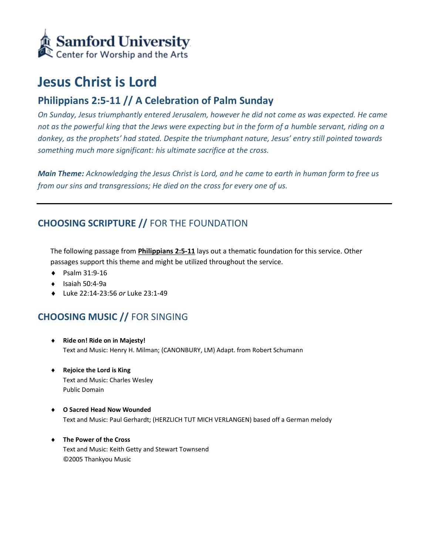

# **Jesus Christ is Lord**

# **Philippians 2:5-11 // A Celebration of Palm Sunday**

*On Sunday, Jesus triumphantly entered Jerusalem, however he did not come as was expected. He came not as the powerful king that the Jews were expecting but in the form of a humble servant, riding on a donkey, as the prophets' had stated. Despite the triumphant nature, Jesus' entry still pointed towards something much more significant: his ultimate sacrifice at the cross.*

*Main Theme: Acknowledging the Jesus Christ is Lord, and he came to earth in human form to free us from our sins and transgressions; He died on the cross for every one of us.*

# **CHOOSING SCRIPTURE //** FOR THE FOUNDATION

The following passage from **Philippians 2:5-11** lays out a thematic foundation for this service. Other passages support this theme and might be utilized throughout the service.

- ◆ Psalm 31:9-16
- $\bullet$  Isaiah 50:4-9a
- Luke 22:14-23:56 *or* Luke 23:1-49

### **CHOOSING MUSIC //** FOR SINGING

- **Ride on! Ride on in Majesty!** Text and Music: Henry H. Milman; (CANONBURY, LM) Adapt. from Robert Schumann
- **Rejoice the Lord is King** Text and Music: Charles Wesley Public Domain
- **O Sacred Head Now Wounded**  Text and Music: Paul Gerhardt; (HERZLICH TUT MICH VERLANGEN) based off a German melody
- **The Power of the Cross**  Text and Music: Keith Getty and Stewart Townsend ©2005 Thankyou Music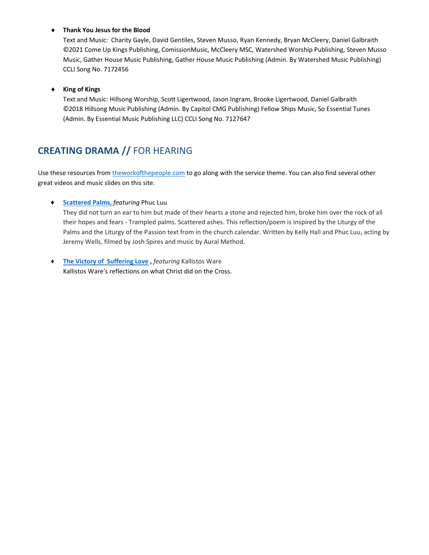#### **Thank You Jesus for the Blood**

Text and Music: Charity Gayle, David Gentiles, Steven Musso, Ryan Kennedy, Bryan McCleery, Daniel Galbraith ©2021 Come Up Kings Publishing, ComissionMusic, McCleery MSC, Watershed Worship Publishing, Steven Musso Music, Gather House Music Publishing, Gather House Music Publishing (Admin. By Watershed Music Publishing) CCLI Song No. 7172456

#### **King of Kings**

Text and Music: Hillsong Worship, Scott Ligertwood, Jason Ingram, Brooke Ligertwood, Daniel Galbraith ©2018 Hillsong Music Publishing (Admin. By Capitol CMG Publishing) Fellow Ships Music, So Essential Tunes (Admin. By Essential Music Publishing LLC) CCLI Song No. 7127647

### **CREATING DRAMA //** FOR HEARING

Use these resources from [theworkofthepeople.com](https://www.theworkofthepeople.com/) to go along with the service theme. You can also find several other great videos and music slides on this site.

#### ♦ **[Scattered Palms,](https://www.theworkofthepeople.com/scattered-palms)** *featuring* Phuc Luu

They did not turn an ear to him but made of their hearts a stone and rejected him, broke him over the rock of all their hopes and fears - Trampled palms. Scattered ashes. This reflection/poem is Inspired by the Liturgy of the Palms and the Liturgy of the Passion text from in the church calendar. Written by Kelly Hall and Phuc Luu, acting by Jeremy Wells, filmed by Josh Spires and music by Aural Method.

♦ **[The Victory of Suffering Love](https://www.theworkofthepeople.com/the-victory-of-suffering-love) ,** *featuring* Kallistos Ware Kallistos Ware's reflections on what Christ did on the Cross.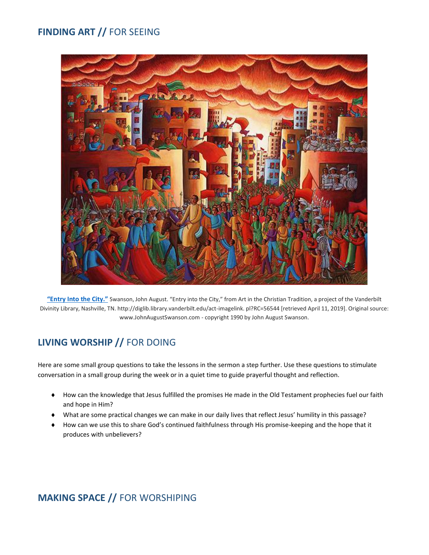# **FINDING ART //** FOR SEEING



**["Entry Into the City."](https://www.johnaugustswanson.com/default.cfm/PID%3D1.2.30.2-7.html)** Swanson, John August. "Entry into the City," from Art in the Christian Tradition, a project of the Vanderbilt Divinity Library, Nashville, TN. http://diglib.library.vanderbilt.edu/act-imagelink. pl?RC=56544 [retrieved April 11, 2019]. Original source: www.JohnAugustSwanson.com - copyright 1990 by John August Swanson.

# **LIVING WORSHIP //** FOR DOING

Here are some small group questions to take the lessons in the sermon a step further. Use these questions to stimulate conversation in a small group during the week or in a quiet time to guide prayerful thought and reflection.

- How can the knowledge that Jesus fulfilled the promises He made in the Old Testament prophecies fuel our faith and hope in Him?
- What are some practical changes we can make in our daily lives that reflect Jesus' humility in this passage?
- How can we use this to share God's continued faithfulness through His promise-keeping and the hope that it produces with unbelievers?

### **MAKING SPACE //** FOR WORSHIPING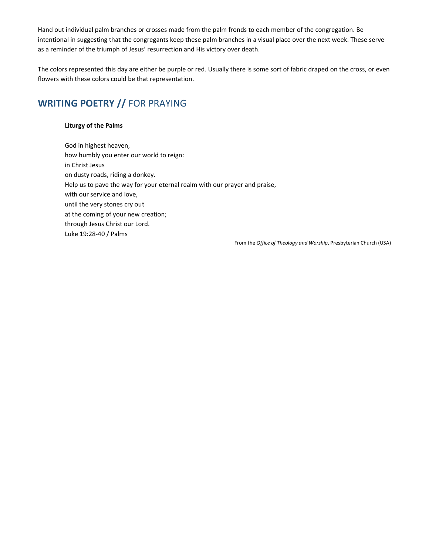Hand out individual palm branches or crosses made from the palm fronds to each member of the congregation. Be intentional in suggesting that the congregants keep these palm branches in a visual place over the next week. These serve as a reminder of the triumph of Jesus' resurrection and His victory over death.

The colors represented this day are either be purple or red. Usually there is some sort of fabric draped on the cross, or even flowers with these colors could be that representation.

# **WRITING POETRY //** FOR PRAYING

#### **Liturgy of the Palms**

God in highest heaven, how humbly you enter our world to reign: in Christ Jesus on dusty roads, riding a donkey. Help us to pave the way for your eternal realm with our prayer and praise, with our service and love, until the very stones cry out at the coming of your new creation; through Jesus Christ our Lord. Luke 19:28-40 / Palms

From the *Office of Theology and Worship*, Presbyterian Church (USA)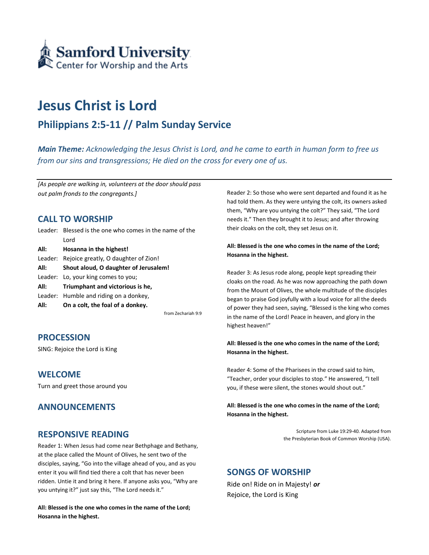

# **Jesus Christ is Lord**

### **Philippians 2:5-11 // Palm Sunday Service**

*Main Theme: Acknowledging the Jesus Christ is Lord, and he came to earth in human form to free us from our sins and transgressions; He died on the cross for every one of us.*

*[As people are walking in, volunteers at the door should pass out palm fronds to the congregants.]*

### **CALL TO WORSHIP**

| All: | On a colt, the foal of a donkey.                        |
|------|---------------------------------------------------------|
|      | Leader: Humble and riding on a donkey,                  |
| All: | Triumphant and victorious is he,                        |
|      | Leader: Lo, your king comes to you;                     |
| All: | Shout aloud, O daughter of Jerusalem!                   |
|      | Leader: Rejoice greatly, O daughter of Zion!            |
| All: | Hosanna in the highest!                                 |
|      | Lord                                                    |
|      | Leader: Blessed is the one who comes in the name of the |

from Zechariah 9:9

#### **PROCESSION**

SING: Rejoice the Lord is King

#### **WELCOME**

Turn and greet those around you

#### **ANNOUNCEMENTS**

#### **RESPONSIVE READING**

Reader 1: When Jesus had come near Bethphage and Bethany, at the place called the Mount of Olives, he sent two of the disciples, saying, "Go into the village ahead of you, and as you enter it you will find tied there a colt that has never been ridden. Untie it and bring it here. If anyone asks you, "Why are you untying it?" just say this, "The Lord needs it."

**All: Blessed is the one who comes in the name of the Lord; Hosanna in the highest.**

Reader 2: So those who were sent departed and found it as he had told them. As they were untying the colt, its owners asked them, "Why are you untying the colt?" They said, "The Lord needs it." Then they brought it to Jesus; and after throwing their cloaks on the colt, they set Jesus on it.

#### **All: Blessed is the one who comes in the name of the Lord; Hosanna in the highest.**

Reader 3: As Jesus rode along, people kept spreading their cloaks on the road. As he was now approaching the path down from the Mount of Olives, the whole multitude of the disciples began to praise God joyfully with a loud voice for all the deeds of power they had seen, saying, "Blessed is the king who comes in the name of the Lord! Peace in heaven, and glory in the highest heaven!"

**All: Blessed is the one who comes in the name of the Lord; Hosanna in the highest.**

Reader 4: Some of the Pharisees in the crowd said to him, "Teacher, order your disciples to stop." He answered, "I tell you, if these were silent, the stones would shout out."

**All: Blessed is the one who comes in the name of the Lord; Hosanna in the highest.**

> Scripture from Luke 19:29-40. Adapted from the Presbyterian Book of Common Worship (USA).

#### **SONGS OF WORSHIP**

Ride on! Ride on in Majesty! *or* Rejoice, the Lord is King